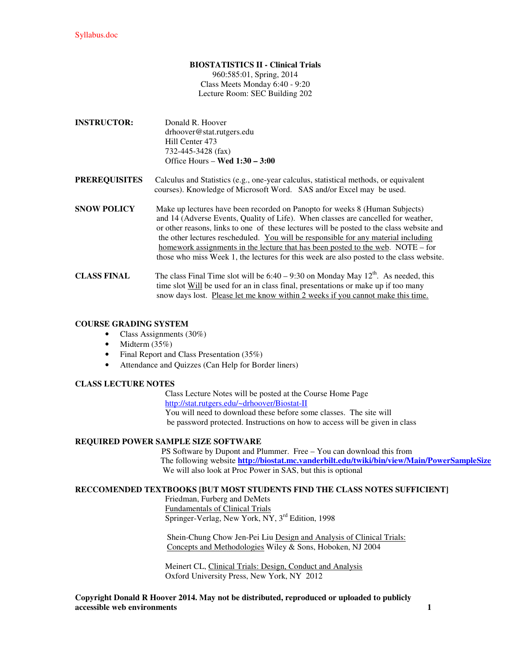# **BIOSTATISTICS II - Clinical Trials**

960:585:01, Spring, 2014 Class Meets Monday 6:40 - 9:20 Lecture Room: SEC Building 202

- **INSTRUCTOR:** Donald R. Hoover drhoover@stat.rutgers.edu Hill Center 473 732-445-3428 (fax) Office Hours – **Wed 1:30 – 3:00**
- **PREREQUISITES** Calculus and Statistics (e.g., one-year calculus, statistical methods, or equivalent courses). Knowledge of Microsoft Word. SAS and/or Excel may be used.
- **SNOW POLICY** Make up lectures have been recorded on Panopto for weeks 8 (Human Subjects) and 14 (Adverse Events, Quality of Life). When classes are cancelled for weather, or other reasons, links to one of these lectures will be posted to the class website and the other lectures rescheduled. You will be responsible for any material including homework assignments in the lecture that has been posted to the web. NOTE – for those who miss Week 1, the lectures for this week are also posted to the class website.
- **CLASS FINAL** The class Final Time slot will be  $6:40 9:30$  on Monday May  $12^{th}$ . As needed, this time slot Will be used for an in class final, presentations or make up if too many snow days lost. Please let me know within 2 weeks if you cannot make this time.

### **COURSE GRADING SYSTEM**

- Class Assignments (30%)
- Midterm  $(35\%)$
- Final Report and Class Presentation (35%)
- Attendance and Quizzes (Can Help for Border liners)

### **CLASS LECTURE NOTES**

 Class Lecture Notes will be posted at the Course Home Page http://stat.rutgers.edu/~drhoover/Biostat-II You will need to download these before some classes. The site will be password protected. Instructions on how to access will be given in class

## **REQUIRED POWER SAMPLE SIZE SOFTWARE**

 PS Software by Dupont and Plummer. Free – You can download this from The following website **http://biostat.mc.vanderbilt.edu/twiki/bin/view/Main/PowerSampleSize** We will also look at Proc Power in SAS, but this is optional

### **RECCOMENDED TEXTBOOKS [BUT MOST STUDENTS FIND THE CLASS NOTES SUFFICIENT]**

 Friedman, Furberg and DeMets Fundamentals of Clinical Trials Springer-Verlag, New York, NY, 3<sup>rd</sup> Edition, 1998

 Shein-Chung Chow Jen-Pei Liu Design and Analysis of Clinical Trials: Concepts and Methodologies Wiley & Sons, Hoboken, NJ 2004

 Meinert CL, Clinical Trials: Design, Conduct and Analysis Oxford University Press, New York, NY 2012

**Copyright Donald R Hoover 2014. May not be distributed, reproduced or uploaded to publicly accessible web environments** 1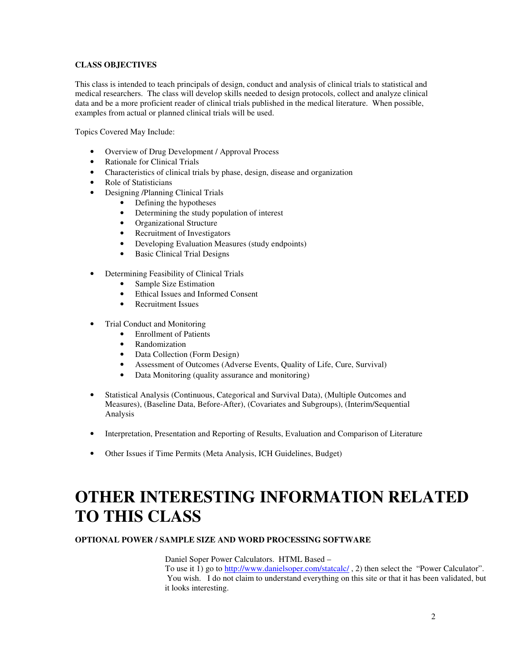## **CLASS OBJECTIVES**

This class is intended to teach principals of design, conduct and analysis of clinical trials to statistical and medical researchers. The class will develop skills needed to design protocols, collect and analyze clinical data and be a more proficient reader of clinical trials published in the medical literature. When possible, examples from actual or planned clinical trials will be used.

Topics Covered May Include:

- Overview of Drug Development / Approval Process
- Rationale for Clinical Trials
- Characteristics of clinical trials by phase, design, disease and organization
- Role of Statisticians
- Designing /Planning Clinical Trials
	- Defining the hypotheses
	- Determining the study population of interest
	- Organizational Structure<br>• Recruitment of Investiga
	- Recruitment of Investigators
	- Developing Evaluation Measures (study endpoints)
	- **Basic Clinical Trial Designs**
- Determining Feasibility of Clinical Trials
	- Sample Size Estimation
	- Ethical Issues and Informed Consent
	- Recruitment Issues
- Trial Conduct and Monitoring
	- Enrollment of Patients
	- Randomization
	- Data Collection (Form Design)
	- Assessment of Outcomes (Adverse Events, Quality of Life, Cure, Survival)
	- Data Monitoring (quality assurance and monitoring)
- Statistical Analysis (Continuous, Categorical and Survival Data), (Multiple Outcomes and Measures), (Baseline Data, Before-After), (Covariates and Subgroups), (Interim/Sequential Analysis
- Interpretation, Presentation and Reporting of Results, Evaluation and Comparison of Literature
- Other Issues if Time Permits (Meta Analysis, ICH Guidelines, Budget)

# **OTHER INTERESTING INFORMATION RELATED TO THIS CLASS**

### **OPTIONAL POWER / SAMPLE SIZE AND WORD PROCESSING SOFTWARE**

Daniel Soper Power Calculators. HTML Based –

To use it 1) go to http://www.danielsoper.com/statcalc/, 2) then select the "Power Calculator". You wish. I do not claim to understand everything on this site or that it has been validated, but it looks interesting.